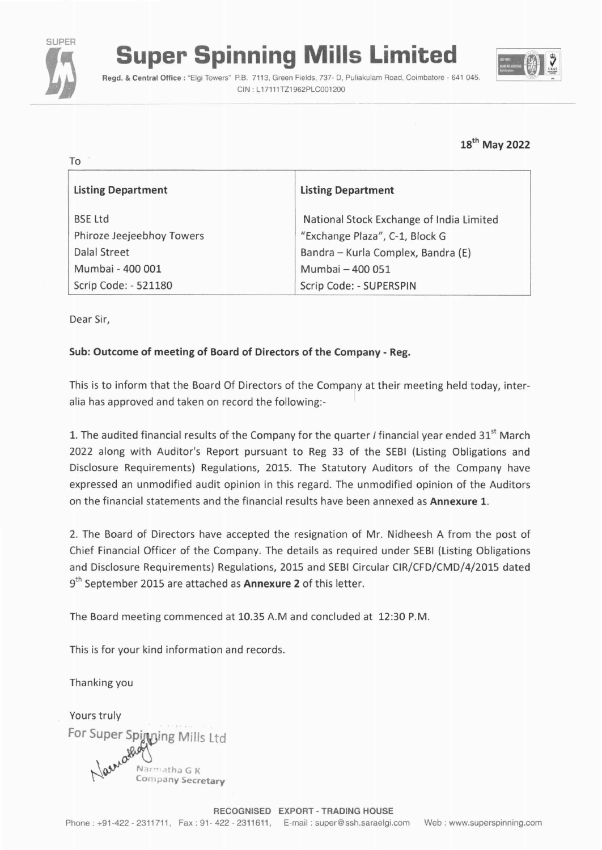

# **Super Spinning Mills Limited** <br>**Regd. & Central Office: "Elgi Towers" P.B. 7113, Green Fields, 737- D, Puliakulam Road, Coimbatore - 641 045.**

CIN : L17111TZ1962PLC001200



# 18th May 2022

| To                                                     |                                          |  |
|--------------------------------------------------------|------------------------------------------|--|
| <b>Listing Department</b><br><b>Listing Department</b> |                                          |  |
| <b>BSE Ltd</b>                                         | National Stock Exchange of India Limited |  |
| Phiroze Jeejeebhoy Towers                              | "Exchange Plaza", C-1, Block G           |  |
| Dalal Street                                           | Bandra – Kurla Complex, Bandra (E)       |  |
| Mumbai - 400 001                                       | Mumbai - 400 051                         |  |
| Scrip Code: - 521180                                   | Scrip Code: - SUPERSPIN                  |  |

Dear Sir,

## Sub: Outcome of meeting of Board of Directors of the Company - Reg.

This is to inform that the Board Of Directors of the Company at their meeting held today, interalia has approved and taken on record the following:-

1. The audited financial results of the Company for the quarter  $I$  financial year ended 31<sup>st</sup> March 2022 along with Auditor's Report pursuant to Reg 33 of the SEBI (Listing Obligations and Disclosure Requirements) Regulations, 2015. The Statutory Auditors of the Company have expressed an unmodified audit opinion in this regard. The unmodified opinion of the Auditors on the financial statements and the financial results have been annexed as Annexure 1.

2. The Board of Directors have accepted the resignation of Mr. Nidheesh A from the post of Chief Financial Officer of the Company. The details as required under SEBI (Listing Obligations and Disclosure Requirements) Regulations, 2015 and SEBI Circular CIR/CFD/CMD/4/2015 dated  $9<sup>th</sup>$  September 2015 are attached as Annexure 2 of this letter.

The Board meeting commenced at 10.35 A.Mand concluded at 12:30 P.M.

This is for your kind information and records.

Thanking you

Yours truly For Super Spinning Mills Ltd Narmatha G K Company Secretary